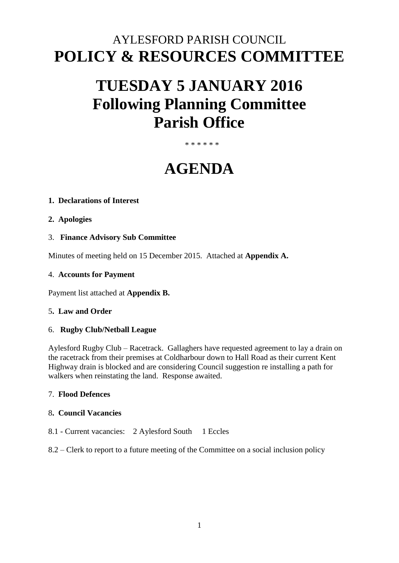## AYLESFORD PARISH COUNCIL **POLICY & RESOURCES COMMITTEE**

# **TUESDAY 5 JANUARY 2016 Following Planning Committee Parish Office**

## \* \* \* \* \* \*

## **AGENDA**

## **1. Declarations of Interest**

- **2. Apologies**
- 3. **Finance Advisory Sub Committee**

Minutes of meeting held on 15 December 2015. Attached at **Appendix A.** 

#### 4. **Accounts for Payment**

Payment list attached at **Appendix B.** 

#### 5**. Law and Order**

#### 6. **Rugby Club/Netball League**

Aylesford Rugby Club – Racetrack. Gallaghers have requested agreement to lay a drain on the racetrack from their premises at Coldharbour down to Hall Road as their current Kent Highway drain is blocked and are considering Council suggestion re installing a path for walkers when reinstating the land. Response awaited.

## 7. **Flood Defences**

## 8**. Council Vacancies**

8.1 - Current vacancies: 2 Aylesford South 1 Eccles

## 8.2 – Clerk to report to a future meeting of the Committee on a social inclusion policy